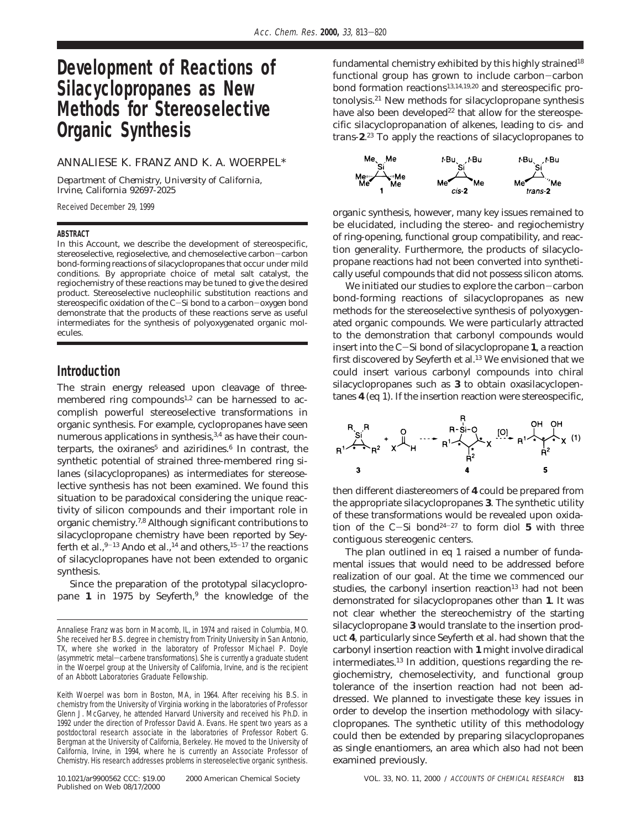# **Development of Reactions of Silacyclopropanes as New Methods for Stereoselective Organic Synthesis**

### ANNALIESE K. FRANZ AND K. A. WOERPEL\*

*Department of Chemistry, University of California, Irvine, California 92697-2025*

Received December 29, 1999

#### **ABSTRACT**

In this Account, we describe the development of stereospecific, stereoselective, regioselective, and chemoselective carbon-carbon bond-forming reactions of silacyclopropanes that occur under mild conditions. By appropriate choice of metal salt catalyst, the regiochemistry of these reactions may be tuned to give the desired product. Stereoselective nucleophilic substitution reactions and stereospecific oxidation of the C-Si bond to a carbon-oxygen bond demonstrate that the products of these reactions serve as useful intermediates for the synthesis of polyoxygenated organic molecules.

### **Introduction**

The strain energy released upon cleavage of threemembered ring compounds<sup>1,2</sup> can be harnessed to accomplish powerful stereoselective transformations in organic synthesis. For example, cyclopropanes have seen numerous applications in synthesis,<sup>3,4</sup> as have their counterparts, the oxiranes<sup>5</sup> and aziridines.<sup>6</sup> In contrast, the synthetic potential of strained three-membered ring silanes (silacyclopropanes) as intermediates for stereoselective synthesis has not been examined. We found this situation to be paradoxical considering the unique reactivity of silicon compounds and their important role in organic chemistry.7,8 Although significant contributions to silacyclopropane chemistry have been reported by Seyferth et al.,  $9-13$  Ando et al.,  $14$  and others,  $15-17$  the reactions of silacyclopropanes have not been extended to organic synthesis.

Since the preparation of the prototypal silacyclopropane 1 in 1975 by Seyferth,<sup>9</sup> the knowledge of the

10.1021/ar9900562 CCC: \$19.00 2000 American Chemical Society VOL. 33, NO. 11, 2000 / ACCOUNTS OF CHEMICAL RESEARCH **813** Published on Web 08/17/2000

fundamental chemistry exhibited by this highly strained<sup>18</sup> functional group has grown to include carbon-carbon bond formation reactions<sup>13,14,19,20</sup> and stereospecific protonolysis.21 New methods for silacyclopropane synthesis have also been developed<sup>22</sup> that allow for the stereospecific silacyclopropanation of alkenes, leading to *cis*- and *trans*-**2**. <sup>23</sup> To apply the reactions of silacyclopropanes to



organic synthesis, however, many key issues remained to be elucidated, including the stereo- and regiochemistry of ring-opening, functional group compatibility, and reaction generality. Furthermore, the products of silacyclopropane reactions had not been converted into synthetically useful compounds that did not possess silicon atoms.

We initiated our studies to explore the carbon-carbon bond-forming reactions of silacyclopropanes as new methods for the stereoselective synthesis of polyoxygenated organic compounds. We were particularly attracted to the demonstration that carbonyl compounds would insert into the C-Si bond of silacyclopropane **<sup>1</sup>**, a reaction first discovered by Seyferth et al.<sup>13</sup> We envisioned that we could insert various carbonyl compounds into chiral silacyclopropanes such as **3** to obtain oxasilacyclopentanes **4** (eq 1). If the insertion reaction were stereospecific,



then different diastereomers of **4** could be prepared from the appropriate silacyclopropanes **3**. The synthetic utility of these transformations would be revealed upon oxidation of the  $C-Si$  bond<sup>24-27</sup> to form diol 5 with three contiguous stereogenic centers.

The plan outlined in eq 1 raised a number of fundamental issues that would need to be addressed before realization of our goal. At the time we commenced our studies, the carbonyl insertion reaction<sup>13</sup> had not been demonstrated for silacyclopropanes other than **1**. It was not clear whether the stereochemistry of the starting silacyclopropane **3** would translate to the insertion product **4**, particularly since Seyferth et al. had shown that the carbonyl insertion reaction with **1** might involve diradical intermediates.13 In addition, questions regarding the regiochemistry, chemoselectivity, and functional group tolerance of the insertion reaction had not been addressed. We planned to investigate these key issues in order to develop the insertion methodology with silacyclopropanes. The synthetic utility of this methodology could then be extended by preparing silacyclopropanes as single enantiomers, an area which also had not been examined previously.

Annaliese Franz was born in Macomb, IL, in 1974 and raised in Columbia, MO. She received her B.S. degree in chemistry from Trinity University in San Antonio, TX, where she worked in the laboratory of Professor Michael P. Doyle (asymmetric metal-carbene transformations). She is currently a graduate student in the Woerpel group at the University of California, Irvine, and is the recipient of an Abbott Laboratories Graduate Fellowship.

Keith Woerpel was born in Boston, MA, in 1964. After receiving his B.S. in chemistry from the University of Virginia working in the laboratories of Professor Glenn J. McGarvey, he attended Harvard University and received his Ph.D. in 1992 under the direction of Professor David A. Evans. He spent two years as a postdoctoral research associate in the laboratories of Professor Robert G. Bergman at the University of California, Berkeley. He moved to the University of California, Irvine, in 1994, where he is currently an Associate Professor of Chemistry. His research addresses problems in stereoselective organic synthesis.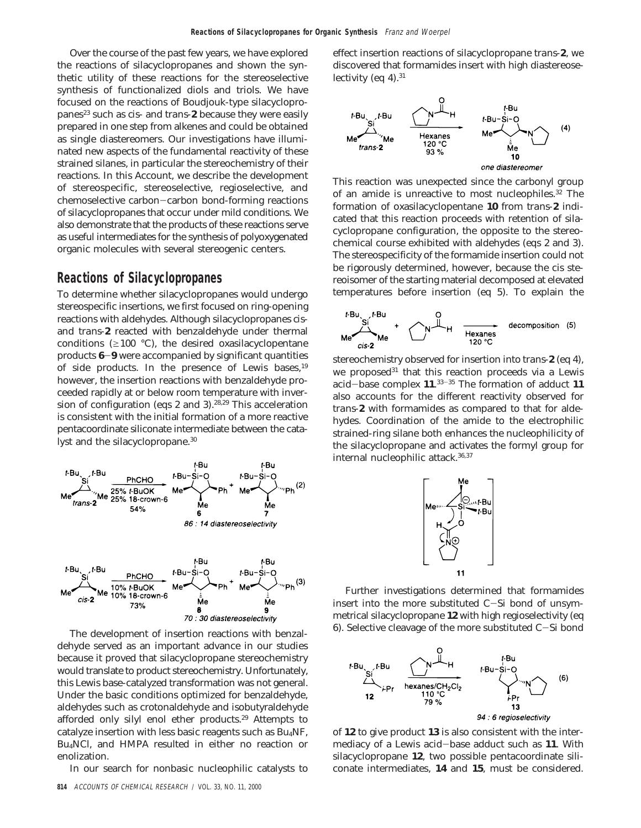Over the course of the past few years, we have explored the reactions of silacyclopropanes and shown the synthetic utility of these reactions for the stereoselective synthesis of functionalized diols and triols. We have focused on the reactions of Boudjouk-type silacyclopropanes<sup>23</sup> such as *cis*- and *trans*-2 because they were easily prepared in one step from alkenes and could be obtained as single diastereomers. Our investigations have illuminated new aspects of the fundamental reactivity of these strained silanes, in particular the stereochemistry of their reactions. In this Account, we describe the development of stereospecific, stereoselective, regioselective, and chemoselective carbon-carbon bond-forming reactions of silacyclopropanes that occur under mild conditions. We also demonstrate that the products of these reactions serve as useful intermediates for the synthesis of polyoxygenated organic molecules with several stereogenic centers.

## **Reactions of Silacyclopropanes**

To determine whether silacyclopropanes would undergo stereospecific insertions, we first focused on ring-opening reactions with aldehydes. Although silacyclopropanes *cis*and *trans*-**2** reacted with benzaldehyde under thermal conditions ( $\geq 100$  °C), the desired oxasilacyclopentane products **<sup>6</sup>**-**<sup>9</sup>** were accompanied by significant quantities of side products. In the presence of Lewis bases,<sup>19</sup> however, the insertion reactions with benzaldehyde proceeded rapidly at or below room temperature with inversion of configuration (eqs 2 and 3).28,29 This acceleration is consistent with the initial formation of a more reactive pentacoordinate siliconate intermediate between the catalyst and the silacyclopropane.<sup>30</sup>





The development of insertion reactions with benzaldehyde served as an important advance in our studies because it proved that silacyclopropane stereochemistry would translate to product stereochemistry. Unfortunately, this Lewis base-catalyzed transformation was not general. Under the basic conditions optimized for benzaldehyde, aldehydes such as crotonaldehyde and isobutyraldehyde afforded only silyl enol ether products.29 Attempts to catalyze insertion with less basic reagents such as Bu4NF, Bu4NCl, and HMPA resulted in either no reaction or enolization.

In our search for nonbasic nucleophilic catalysts to

effect insertion reactions of silacyclopropane *trans*-**2**, we discovered that formamides insert with high diastereoselectivity (eq  $4$ ).<sup>31</sup>



This reaction was unexpected since the carbonyl group of an amide is unreactive to most nucleophiles.32 The formation of oxasilacyclopentane **10** from *trans*-**2** indicated that this reaction proceeds with retention of silacyclopropane configuration, the opposite to the stereochemical course exhibited with aldehydes (eqs 2 and 3). The stereospecificity of the formamide insertion could not be rigorously determined, however, because the cis stereoisomer of the starting material decomposed at elevated temperatures before insertion (eq 5). To explain the



stereochemistry observed for insertion into *trans*-**2** (eq 4), we proposed<sup>31</sup> that this reaction proceeds via a Lewis acid-base complex **<sup>11</sup>**. <sup>33</sup>-<sup>35</sup> The formation of adduct **11** also accounts for the different reactivity observed for *trans*-**2** with formamides as compared to that for aldehydes. Coordination of the amide to the electrophilic strained-ring silane both enhances the nucleophilicity of the silacyclopropane and activates the formyl group for internal nucleophilic attack.36,37



Further investigations determined that formamides insert into the more substituted C-Si bond of unsymmetrical silacyclopropane **12** with high regioselectivity (eq 6). Selective cleavage of the more substituted C-Si bond



of **12** to give product **13** is also consistent with the intermediacy of a Lewis acid-base adduct such as **<sup>11</sup>**. With silacyclopropane **12**, two possible pentacoordinate siliconate intermediates, **14** and **15**, must be considered.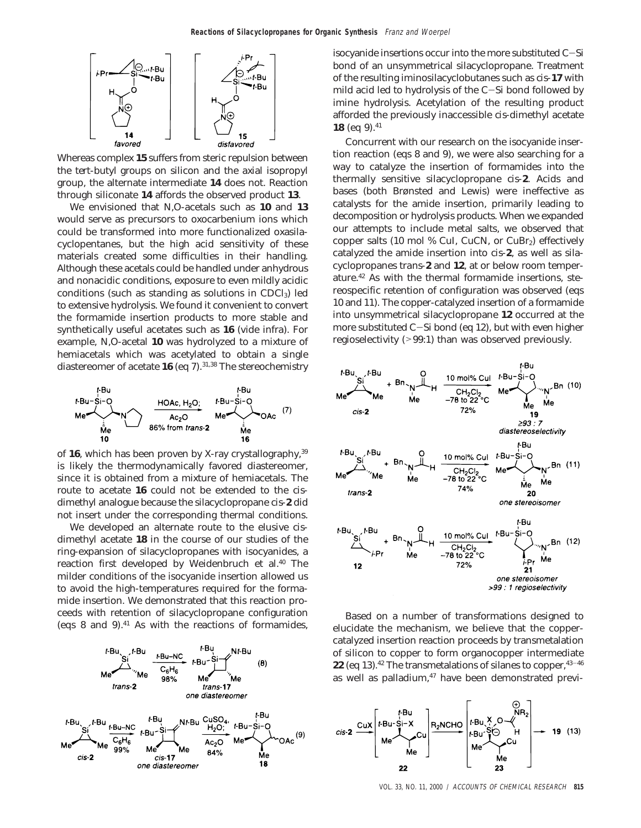

Whereas complex **15** suffers from steric repulsion between the *tert*-butyl groups on silicon and the axial isopropyl group, the alternate intermediate **14** does not. Reaction through siliconate **14** affords the observed product **13**.

We envisioned that *N*,*O*-acetals such as **10** and **13** would serve as precursors to oxocarbenium ions which could be transformed into more functionalized oxasilacyclopentanes, but the high acid sensitivity of these materials created some difficulties in their handling. Although these acetals could be handled under anhydrous and nonacidic conditions, exposure to even mildly acidic conditions (such as standing as solutions in  $CDCl<sub>3</sub>$ ) led to extensive hydrolysis. We found it convenient to convert the formamide insertion products to more stable and synthetically useful acetates such as **16** (vide infra). For example, *N*,*O*-acetal **10** was hydrolyzed to a mixture of hemiacetals which was acetylated to obtain a single diastereomer of acetate **16** (eq 7).<sup>31,38</sup> The stereochemistry



of **16**, which has been proven by X-ray crystallography,39 is likely the thermodynamically favored diastereomer, since it is obtained from a mixture of hemiacetals. The route to acetate **16** could not be extended to the *cis*dimethyl analogue because the silacyclopropane *cis*-**2** did not insert under the corresponding thermal conditions.

We developed an alternate route to the elusive *cis*dimethyl acetate **18** in the course of our studies of the ring-expansion of silacyclopropanes with isocyanides, a reaction first developed by Weidenbruch et al.<sup>40</sup> The milder conditions of the isocyanide insertion allowed us to avoid the high-temperatures required for the formamide insertion. We demonstrated that this reaction proceeds with retention of silacyclopropane configuration (eqs  $8$  and  $9$ ).<sup>41</sup> As with the reactions of formamides,



isocyanide insertions occur into the more substituted C-Si bond of an unsymmetrical silacyclopropane. Treatment of the resulting iminosilacyclobutanes such as *cis*-**17** with mild acid led to hydrolysis of the C-Si bond followed by imine hydrolysis. Acetylation of the resulting product afforded the previously inaccessible *cis*-dimethyl acetate **18** (eq 9).41

Concurrent with our research on the isocyanide insertion reaction (eqs 8 and 9), we were also searching for a way to catalyze the insertion of formamides into the thermally sensitive silacyclopropane *cis*-**2**. Acids and bases (both Brønsted and Lewis) were ineffective as catalysts for the amide insertion, primarily leading to decomposition or hydrolysis products. When we expanded our attempts to include metal salts, we observed that copper salts (10 mol % CuI, CuCN, or CuBr<sub>2</sub>) effectively catalyzed the amide insertion into *cis*-**2**, as well as silacyclopropanes *trans*-**2** and **12**, at or below room temperature.42 As with the thermal formamide insertions, stereospecific retention of configuration was observed (eqs 10 and 11). The copper-catalyzed insertion of a formamide into unsymmetrical silacyclopropane **12** occurred at the more substituted C-Si bond (eq 12), but with even higher regioselectivity (>99:1) than was observed previously.



Based on a number of transformations designed to elucidate the mechanism, we believe that the coppercatalyzed insertion reaction proceeds by transmetalation of silicon to copper to form organocopper intermediate **22** (eq 13).<sup>42</sup> The transmetalations of silanes to copper, <sup>43-46</sup> as well as palladium, $47$  have been demonstrated previ-



VOL. 33, NO. 11, 2000 / ACCOUNTS OF CHEMICAL RESEARCH **815**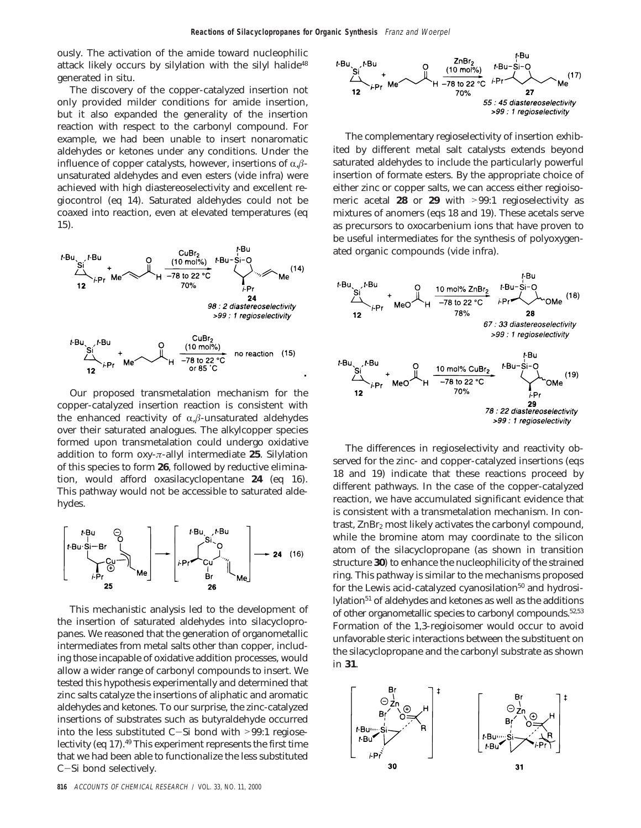ously. The activation of the amide toward nucleophilic attack likely occurs by silylation with the silyl halide<sup>48</sup> generated in situ.

The discovery of the copper-catalyzed insertion not only provided milder conditions for amide insertion, but it also expanded the generality of the insertion reaction with respect to the carbonyl compound. For example, we had been unable to insert nonaromatic aldehydes or ketones under any conditions. Under the influence of copper catalysts, however, insertions of  $\alpha$ , $\beta$ unsaturated aldehydes and even esters (vide infra) were achieved with high diastereoselectivity and excellent regiocontrol (eq 14). Saturated aldehydes could not be coaxed into reaction, even at elevated temperatures (eq 15).



Our proposed transmetalation mechanism for the copper-catalyzed insertion reaction is consistent with the enhanced reactivity of  $\alpha$ , $\beta$ -unsaturated aldehydes over their saturated analogues. The alkylcopper species formed upon transmetalation could undergo oxidative addition to form oxy-*π*-allyl intermediate **25**. Silylation of this species to form **26**, followed by reductive elimination, would afford oxasilacyclopentane **24** (eq 16). This pathway would not be accessible to saturated aldehydes.



This mechanistic analysis led to the development of the insertion of saturated aldehydes into silacyclopropanes. We reasoned that the generation of organometallic intermediates from metal salts other than copper, including those incapable of oxidative addition processes, would allow a wider range of carbonyl compounds to insert. We tested this hypothesis experimentally and determined that zinc salts catalyze the insertions of aliphatic and aromatic aldehydes and ketones. To our surprise, the zinc-catalyzed insertions of substrates such as butyraldehyde occurred into the less substituted C-Si bond with >99:1 regioselectivity (eq 17).49 This experiment represents the first time that we had been able to functionalize the less substituted <sup>C</sup>-Si bond selectively.



The complementary regioselectivity of insertion exhibited by different metal salt catalysts extends beyond saturated aldehydes to include the particularly powerful insertion of formate esters. By the appropriate choice of either zinc or copper salts, we can access either regioisomeric acetal **<sup>28</sup>** or **<sup>29</sup>** with >99:1 regioselectivity as mixtures of anomers (eqs 18 and 19). These acetals serve as precursors to oxocarbenium ions that have proven to be useful intermediates for the synthesis of polyoxygenated organic compounds (vide infra).



The differences in regioselectivity and reactivity observed for the zinc- and copper-catalyzed insertions (eqs 18 and 19) indicate that these reactions proceed by different pathways. In the case of the copper-catalyzed reaction, we have accumulated significant evidence that is consistent with a transmetalation mechanism. In contrast,  $\text{ZnBr}_2$  most likely activates the carbonyl compound, while the bromine atom may coordinate to the silicon atom of the silacyclopropane (as shown in transition structure **30**) to enhance the nucleophilicity of the strained ring. This pathway is similar to the mechanisms proposed for the Lewis acid-catalyzed cyanosilation<sup>50</sup> and hydrosilylation<sup>51</sup> of aldehydes and ketones as well as the additions of other organometallic species to carbonyl compounds.<sup>52,53</sup> Formation of the 1,3-regioisomer would occur to avoid unfavorable steric interactions between the substituent on the silacyclopropane and the carbonyl substrate as shown in **31**.

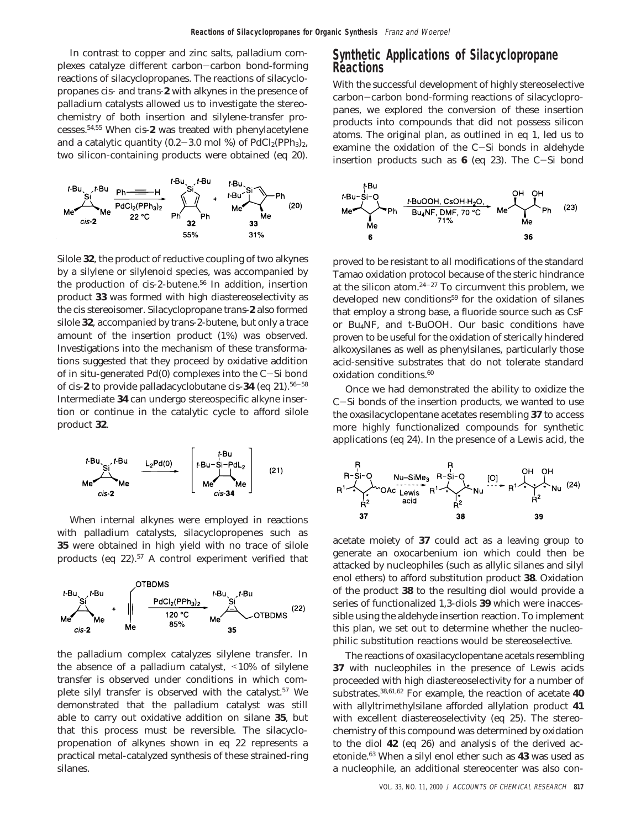In contrast to copper and zinc salts, palladium complexes catalyze different carbon-carbon bond-forming reactions of silacyclopropanes. The reactions of silacyclopropanes *cis*- and *trans*-**2** with alkynes in the presence of palladium catalysts allowed us to investigate the stereochemistry of both insertion and silylene-transfer processes.54,55 When *cis*-**2** was treated with phenylacetylene and a catalytic quantity  $(0.2-3.0 \text{ mol } \%)$  of PdCl<sub>2</sub>(PPh<sub>3</sub>)<sub>2</sub>, two silicon-containing products were obtained (eq 20).



Silole **32**, the product of reductive coupling of two alkynes by a silylene or silylenoid species, was accompanied by the production of *cis*-2-butene.<sup>56</sup> In addition, insertion product **33** was formed with high diastereoselectivity as the cis stereoisomer. Silacyclopropane *trans*-**2** also formed silole **32**, accompanied by *trans*-2-butene, but only a trace amount of the insertion product (1%) was observed. Investigations into the mechanism of these transformations suggested that they proceed by oxidative addition of in situ-generated Pd(0) complexes into the C-Si bond of *cis*-**2** to provide palladacyclobutane *cis*-**34** (eq 21).56-<sup>58</sup> Intermediate **34** can undergo stereospecific alkyne insertion or continue in the catalytic cycle to afford silole product **32**.



When internal alkynes were employed in reactions with palladium catalysts, silacyclopropenes such as **35** were obtained in high yield with no trace of silole products (eq 22).<sup>57</sup> A control experiment verified that



the palladium complex catalyzes silylene transfer. In the absence of a palladium catalyst, <10% of silylene transfer is observed under conditions in which complete silyl transfer is observed with the catalyst.<sup>57</sup> We demonstrated that the palladium catalyst was still able to carry out oxidative addition on silane **35**, but that this process must be reversible. The silacyclopropenation of alkynes shown in eq 22 represents a practical metal-catalyzed synthesis of these strained-ring silanes.

### **Synthetic Applications of Silacyclopropane Reactions**

With the successful development of highly stereoselective carbon-carbon bond-forming reactions of silacyclopropanes, we explored the conversion of these insertion products into compounds that did not possess silicon atoms. The original plan, as outlined in eq 1, led us to examine the oxidation of the C-Si bonds in aldehyde insertion products such as **<sup>6</sup>** (eq 23). The C-Si bond



proved to be resistant to all modifications of the standard Tamao oxidation protocol because of the steric hindrance at the silicon atom. $24-27$  To circumvent this problem, we developed new conditions<sup>59</sup> for the oxidation of silanes that employ a strong base, a fluoride source such as CsF or Bu4NF, and *t*-BuOOH. Our basic conditions have proven to be useful for the oxidation of sterically hindered alkoxysilanes as well as phenylsilanes, particularly those acid-sensitive substrates that do not tolerate standard oxidation conditions.<sup>60</sup>

Once we had demonstrated the ability to oxidize the <sup>C</sup>-Si bonds of the insertion products, we wanted to use the oxasilacyclopentane acetates resembling **37** to access more highly functionalized compounds for synthetic applications (eq 24). In the presence of a Lewis acid, the



acetate moiety of **37** could act as a leaving group to generate an oxocarbenium ion which could then be attacked by nucleophiles (such as allylic silanes and silyl enol ethers) to afford substitution product **38**. Oxidation of the product **38** to the resulting diol would provide a series of functionalized 1,3-diols **39** which were inaccessible using the aldehyde insertion reaction. To implement this plan, we set out to determine whether the nucleophilic substitution reactions would be stereoselective.

The reactions of oxasilacyclopentane acetals resembling **37** with nucleophiles in the presence of Lewis acids proceeded with high diastereoselectivity for a number of substrates.38,61,62 For example, the reaction of acetate **40** with allyltrimethylsilane afforded allylation product **41** with excellent diastereoselectivity (eq 25). The stereochemistry of this compound was determined by oxidation to the diol **42** (eq 26) and analysis of the derived acetonide.63 When a silyl enol ether such as **43** was used as a nucleophile, an additional stereocenter was also con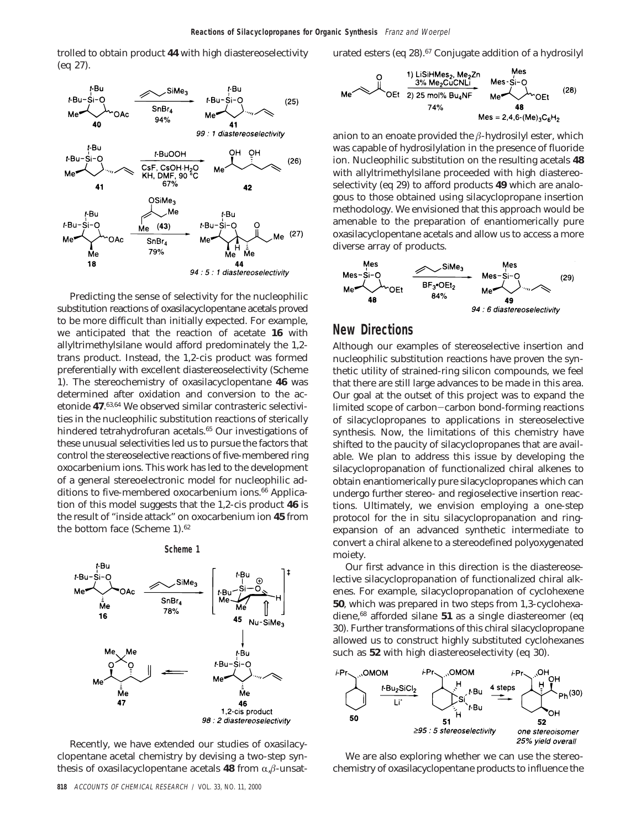trolled to obtain product **44** with high diastereoselectivity (eq 27).



Predicting the sense of selectivity for the nucleophilic substitution reactions of oxasilacyclopentane acetals proved to be more difficult than initially expected. For example, we anticipated that the reaction of acetate **16** with allyltrimethylsilane would afford predominately the 1,2 trans product. Instead, the 1,2-cis product was formed preferentially with excellent diastereoselectivity (Scheme 1). The stereochemistry of oxasilacyclopentane **46** was determined after oxidation and conversion to the acetonide **47**. 63,64 We observed similar contrasteric selectivities in the nucleophilic substitution reactions of sterically hindered tetrahydrofuran acetals.<sup>65</sup> Our investigations of these unusual selectivities led us to pursue the factors that control the stereoselective reactions of five-membered ring oxocarbenium ions. This work has led to the development of a general stereoelectronic model for nucleophilic additions to five-membered oxocarbenium ions.<sup>66</sup> Application of this model suggests that the 1,2-cis product **46** is the result of "inside attack" on oxocarbenium ion **45** from the bottom face (Scheme 1).62

**Scheme 1**



Recently, we have extended our studies of oxasilacyclopentane acetal chemistry by devising a two-step synthesis of oxasilacyclopentane acetals **48** from  $\alpha$ , $\beta$ -unsaturated esters (eq 28).<sup>67</sup> Conjugate addition of a hydrosilyl



anion to an enoate provided the *â*-hydrosilyl ester, which was capable of hydrosilylation in the presence of fluoride ion. Nucleophilic substitution on the resulting acetals **48** with allyltrimethylsilane proceeded with high diastereoselectivity (eq 29) to afford products **49** which are analogous to those obtained using silacyclopropane insertion methodology. We envisioned that this approach would be amenable to the preparation of enantiomerically pure oxasilacyclopentane acetals and allow us to access a more diverse array of products.



### **New Directions**

Although our examples of stereoselective insertion and nucleophilic substitution reactions have proven the synthetic utility of strained-ring silicon compounds, we feel that there are still large advances to be made in this area. Our goal at the outset of this project was to expand the limited scope of carbon-carbon bond-forming reactions of silacyclopropanes to applications in stereoselective synthesis. Now, the limitations of this chemistry have shifted to the paucity of silacyclopropanes that are available. We plan to address this issue by developing the silacyclopropanation of functionalized chiral alkenes to obtain enantiomerically pure silacyclopropanes which can undergo further stereo- and regioselective insertion reactions. Ultimately, we envision employing a one-step protocol for the in situ silacyclopropanation and ringexpansion of an advanced synthetic intermediate to convert a chiral alkene to a stereodefined polyoxygenated moiety.

Our first advance in this direction is the diastereoselective silacyclopropanation of functionalized chiral alkenes. For example, silacyclopropanation of cyclohexene **50**, which was prepared in two steps from 1,3-cyclohexadiene,68 afforded silane **51** as a single diastereomer (eq 30). Further transformations of this chiral silacyclopropane allowed us to construct highly substituted cyclohexanes such as **52** with high diastereoselectivity (eq 30).



We are also exploring whether we can use the stereochemistry of oxasilacyclopentane products to influence the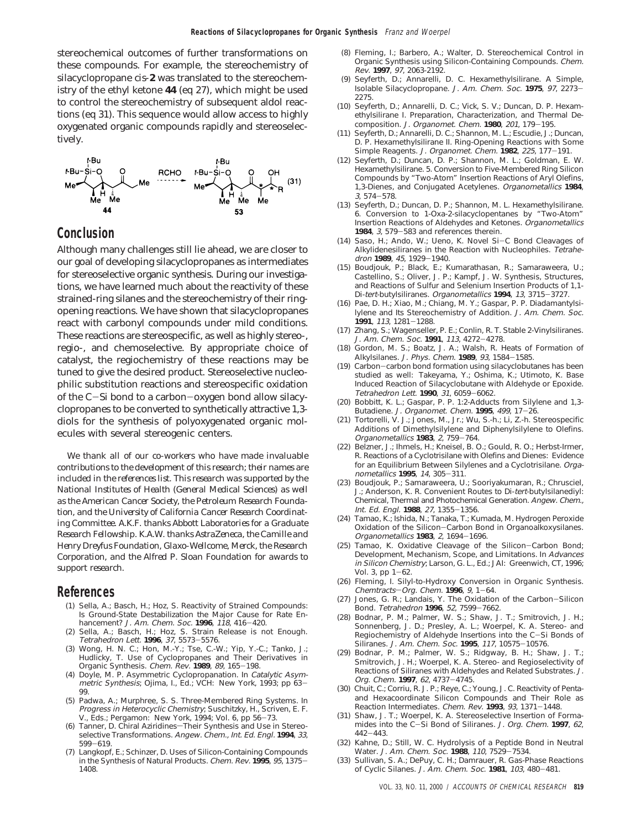stereochemical outcomes of further transformations on these compounds. For example, the stereochemistry of silacyclopropane *cis*-**2** was translated to the stereochemistry of the ethyl ketone **44** (eq 27), which might be used to control the stereochemistry of subsequent aldol reactions (eq 31). This sequence would allow access to highly oxygenated organic compounds rapidly and stereoselectively.



### **Conclusion**

Although many challenges still lie ahead, we are closer to our goal of developing silacyclopropanes as intermediates for stereoselective organic synthesis. During our investigations, we have learned much about the reactivity of these strained-ring silanes and the stereochemistry of their ringopening reactions. We have shown that silacyclopropanes react with carbonyl compounds under mild conditions. These reactions are stereospecific, as well as highly stereo-, regio-, and chemoselective. By appropriate choice of catalyst, the regiochemistry of these reactions may be tuned to give the desired product. Stereoselective nucleophilic substitution reactions and stereospecific oxidation of the C-Si bond to a carbon-oxygen bond allow silacyclopropanes to be converted to synthetically attractive 1,3 diols for the synthesis of polyoxygenated organic molecules with several stereogenic centers.

*We thank all of our co-workers who have made invaluable contributions to the development of this research; their names are included in the references list. This research was supported by the National Institutes of Health (General Medical Sciences) as well as the American Cancer Society, the Petroleum Research Foundation, and the University of California Cancer Research Coordinating Committee. A.K.F. thanks Abbott Laboratories for a Graduate Research Fellowship. K.A.W. thanks AstraZeneca, the Camille and Henry Dreyfus Foundation, Glaxo-Wellcome, Merck, the Research Corporation, and the Alfred P. Sloan Foundation for awards to support research.*

### **References**

- (1) Sella, A.; Basch, H.; Hoz, S. Reactivity of Strained Compounds: Is Ground-State Destabilization the Major Cause for Rate En-<br>hancement? J. Am. Chem. Soc. 1996, 118, 416-420. hancement? *J. Am. Chem. Soc.* 1996, 118, 416-420.<br>(2) Sella, A.; Basch, H.; Hoz, S. Strain Release is not Enough.
- Tetrahedron Lett. **<sup>1996</sup>**, <sup>37</sup>, 5573-5576. (3) Wong, H. N. C.; Hon, M.-Y.; Tse, C.-W.; Yip, Y.-C.; Tanko, J.;
- Hudlicky, T. Use of Cyclopropanes and Their Derivatives in Organic Synthesis. Chem. Rev. **<sup>1989</sup>**, <sup>89</sup>, 165-198.
- (4) Doyle, M. P. Asymmetric Cyclopropanation. In Catalytic Asymmetric Synthesis; Ojima, I., Ed.; VCH: New York, 1993; pp 63- 99.
- (5) Padwa, A.; Murphree, S. S. Three-Membered Ring Systems. In Progress in Heterocyclic Chemistry; Suschitzky, H., Scriven, E. F. V., Eds.; Pergamon: New York, 1994; Vol. 6, pp 56-73.
- (6) Tanner, D. Chiral Aziridines-Their Synthesis and Use in Stereoselective Transformations. Angew. Chem., Int. Ed. Engl. **1994**, 33, <sup>599</sup>-619. (7) Langkopf, E.; Schinzer, D. Uses of Silicon-Containing Compounds
- in the Synthesis of Natural Products. Chem. Rev. **<sup>1995</sup>**, <sup>95</sup>, 1375- 1408.
- (8) Fleming, I.; Barbero, A.; Walter, D. Stereochemical Control in Organic Synthesis using Silicon-Containing Compounds. Chem. Rev. **1997**, 97, 2063-2192.
- (9) Seyferth, D.; Annarelli, D. C. Hexamethylsilirane. A Simple, Isolable Silacyclopropane. J. Am. Chem. Soc. **<sup>1975</sup>**, <sup>97</sup>, 2273- 2275.
- (10) Seyferth, D.; Annarelli, D. C.; Vick, S. V.; Duncan, D. P. Hexamethylsilirane I. Preparation, Characterization, and Thermal De-
- composition. J. Organomet. Chem. **<sup>1980</sup>**, <sup>201</sup>, 179-195. (11) Seyferth, D.; Annarelli, D. C.; Shannon, M. L.; Escudie, J.; Duncan, D. P. Hexamethylsilirane II. Ring-Opening Reactions with Some Simple Reagents. J. Organomet. Chem. **<sup>1982</sup>**, <sup>225</sup>, 177-191.
- (12) Seyferth, D.; Duncan, D. P.; Shannon, M. L.; Goldman, E. W. Hexamethylsilirane. 5. Conversion to Five-Membered Ring Silicon Compounds by "Two-Atom" Insertion Reactions of Aryl Olefins, 1,3-Dienes, and Conjugated Acetylenes. Organometallics **1984**, <sup>3</sup>, 574-578. (13) Seyferth, D.; Duncan, D. P.; Shannon, M. L. Hexamethylsilirane.
- 6. Conversion to 1-Oxa-2-silacyclopentanes by "Two-Atom" Insertion Reactions of Aldehydes and Ketones. Organometallics **<sup>1984</sup>**, <sup>3</sup>, 579-583 and references therein.
- (14) Saso, H.; Ando, W.; Ueno, K. Novel Si-C Bond Cleavages of Alkylidenesiliranes in the Reaction with Nucleophiles. Tetrahedron **<sup>1989</sup>**, <sup>45</sup>, 1929-1940.
- (15) Boudjouk, P.; Black, E.; Kumarathasan, R.; Samaraweera, U.; Castellino, S.; Oliver, J. P.; Kampf, J. W. Synthesis, Structures, and Reactions of Sulfur and Selenium Insertion Products of 1,1- Di-tert-butylsiliranes. Organometallics **<sup>1994</sup>**, <sup>13</sup>, 3715-3727.
- (16) Pae, D. H.; Xiao, M.; Chiang, M. Y.; Gaspar, P. P. Diadamantylsilylene and Its Stereochemistry of Addition. J. Am. Chem. Soc. **<sup>1991</sup>**, <sup>113</sup>, 1281-1288.
- (17) Zhang, S.; Wagenseller, P. E.; Conlin, R. T. Stable 2-Vinylsiliranes. J. Am. Chem. Soc. **<sup>1991</sup>**, <sup>113</sup>, 4272-4278.
- (18) Gordon, M. S.; Boatz, J. A.; Walsh, R. Heats of Formation of Alkylsilanes. J. Phys. Chem. **<sup>1989</sup>**, <sup>93</sup>, 1584-1585.
- (19) Carbon-carbon bond formation using silacyclobutanes has been studied as well: Takeyama, Y.; Oshima, K.; Utimoto, K. Base Induced Reaction of Silacyclobutane with Aldehyde or Epoxide. Tetrahedron Lett. **<sup>1990</sup>**, <sup>31</sup>, 6059-6062.
- (20) Bobbitt, K. L.; Gaspar, P. P. 1:2-Adducts from Silylene and 1,3- Butadiene. J. Organomet. Chem. **<sup>1995</sup>**, <sup>499</sup>, 17-26.
- (21) Tortorelli, V. J.; Jones, M., Jr.; Wu, S.-h.; Li, Z.-h. Stereospecific Additions of Dimethylsilylene and Diphenylsilylene to Olefins. Organometallics **<sup>1983</sup>**, <sup>2</sup>, 759-764.
- (22) Belzner, J.; Ihmels, H.; Kneisel, B. O.; Gould, R. O.; Herbst-Irmer, R. Reactions of a Cyclotrisilane with Olefins and Dienes: Evidence for an Equilibrium Between Silylenes and a Cyclotrisilane. Organometallics **<sup>1995</sup>**, <sup>14</sup>, 305-311.
- (23) Boudjouk, P.; Samaraweera, U.; Sooriyakumaran, R.; Chrusciel, J.; Anderson, K. R. Convenient Routes to Di-tert-butylsilanediyl: Chemical, Thermal and Photochemical Generation. Angew. Chem., Int. Ed. Engl. **<sup>1988</sup>**, <sup>27</sup>, 1355-1356.
- (24) Tamao, K.; Ishida, N.; Tanaka, T.; Kumada, M. Hydrogen Peroxide Oxidation of the Silicon-Carbon Bond in Organoalkoxysilanes. Organometallics **<sup>1983</sup>**, <sup>2</sup>, 1694-1696.
- (25) Tamao, K. Oxidative Cleavage of the Silicon-Carbon Bond; Development, Mechanism, Scope, and Limitations. In Advances in Silicon Chemistry; Larson, G. L., Ed.; JAI: Greenwich, CT, 1996; Vol. 3,  $pp 1-62$ .
- (26) Fleming, I. Silyl-to-Hydroxy Conversion in Organic Synthesis. Chemtracts-Org. Chem. **1996**, 9, 1-64.
- (27) Jones, G. R.; Landais, Y. The Oxidation of the Carbon-Silicon Bond. Tetrahedron **<sup>1996</sup>**, <sup>52</sup>, 7599-7662.
- (28) Bodnar, P. M.; Palmer, W. S.; Shaw, J. T.; Smitrovich, J. H.; Sonnenberg, J. D.; Presley, A. L.; Woerpel, K. A. Stereo- and Regiochemistry of Aldehyde Insertions into the C-Si Bonds of Siliranes. J. Am. Chem. Soc. **<sup>1995</sup>**, <sup>117</sup>, 10575-10576.
- (29) Bodnar, P. M.; Palmer, W. S.; Ridgway, B. H.; Shaw, J. T.; Smitrovich, J. H.; Woerpel, K. A. Stereo- and Regioselectivity of Reactions of Siliranes with Aldehydes and Related Substrates. J. Org. Chem. **<sup>1997</sup>**, <sup>62</sup>, 4737-4745.
- (30) Chuit, C.; Corriu, R. J. P.; Reye, C.; Young, J. C. Reactivity of Pentaand Hexacoordinate Silicon Compounds and Their Role as Reaction Intermediates. Chem. Rev. **<sup>1993</sup>**, <sup>93</sup>, 1371-1448.
- (31) Shaw, J. T.; Woerpel, K. A. Stereoselective Insertion of Formamides into the C-Si Bond of Siliranes. J. Org. Chem. **<sup>1997</sup>**, <sup>62</sup>,
- <sup>442</sup>-443. (32) Kahne, D.; Still, W. C. Hydrolysis of a Peptide Bond in Neutral Water. J. Am. Chem. Soc. **<sup>1988</sup>**, <sup>110</sup>, 7529-7534.
- (33) Sullivan, S. A.; DePuy, C. H.; Damrauer, R. Gas-Phase Reactions of Cyclic Silanes. J. Am. Chem. Soc. **<sup>1981</sup>**, <sup>103</sup>, 480-481.